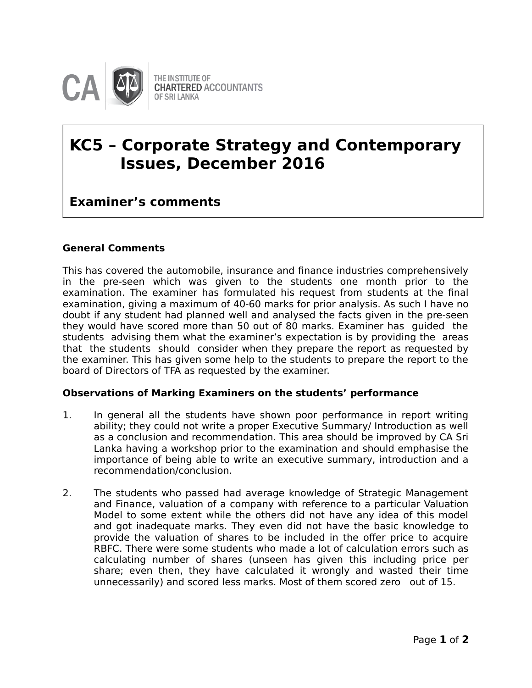

## **KC5 – Corporate Strategy and Contemporary Issues, December 2016**

## **Examiner's comments**

## **General Comments**

This has covered the automobile, insurance and finance industries comprehensively in the pre-seen which was given to the students one month prior to the examination. The examiner has formulated his request from students at the final examination, giving a maximum of 40-60 marks for prior analysis. As such I have no doubt if any student had planned well and analysed the facts given in the pre-seen they would have scored more than 50 out of 80 marks. Examiner has guided the students advising them what the examiner's expectation is by providing the areas that the students should consider when they prepare the report as requested by the examiner. This has given some help to the students to prepare the report to the board of Directors of TFA as requested by the examiner.

## **Observations of Marking Examiners on the students' performance**

- 1. In general all the students have shown poor performance in report writing ability; they could not write a proper Executive Summary/ Introduction as well as a conclusion and recommendation. This area should be improved by CA Sri Lanka having a workshop prior to the examination and should emphasise the importance of being able to write an executive summary, introduction and a recommendation/conclusion.
- 2. The students who passed had average knowledge of Strategic Management and Finance, valuation of a company with reference to a particular Valuation Model to some extent while the others did not have any idea of this model and got inadequate marks. They even did not have the basic knowledge to provide the valuation of shares to be included in the offer price to acquire RBFC. There were some students who made a lot of calculation errors such as calculating number of shares (unseen has given this including price per share; even then, they have calculated it wrongly and wasted their time unnecessarily) and scored less marks. Most of them scored zero out of 15.